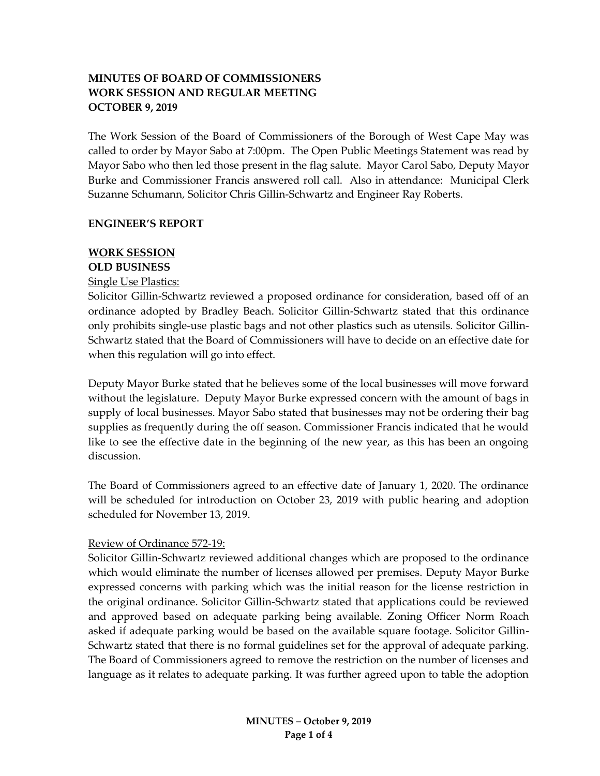# **MINUTES OF BOARD OF COMMISSIONERS WORK SESSION AND REGULAR MEETING OCTOBER 9, 2019**

The Work Session of the Board of Commissioners of the Borough of West Cape May was called to order by Mayor Sabo at 7:00pm. The Open Public Meetings Statement was read by Mayor Sabo who then led those present in the flag salute. Mayor Carol Sabo, Deputy Mayor Burke and Commissioner Francis answered roll call. Also in attendance: Municipal Clerk Suzanne Schumann, Solicitor Chris Gillin-Schwartz and Engineer Ray Roberts.

#### **ENGINEER'S REPORT**

#### **WORK SESSION OLD BUSINESS**

### Single Use Plastics:

Solicitor Gillin-Schwartz reviewed a proposed ordinance for consideration, based off of an ordinance adopted by Bradley Beach. Solicitor Gillin-Schwartz stated that this ordinance only prohibits single-use plastic bags and not other plastics such as utensils. Solicitor Gillin-Schwartz stated that the Board of Commissioners will have to decide on an effective date for when this regulation will go into effect.

Deputy Mayor Burke stated that he believes some of the local businesses will move forward without the legislature. Deputy Mayor Burke expressed concern with the amount of bags in supply of local businesses. Mayor Sabo stated that businesses may not be ordering their bag supplies as frequently during the off season. Commissioner Francis indicated that he would like to see the effective date in the beginning of the new year, as this has been an ongoing discussion.

The Board of Commissioners agreed to an effective date of January 1, 2020. The ordinance will be scheduled for introduction on October 23, 2019 with public hearing and adoption scheduled for November 13, 2019.

#### Review of Ordinance 572-19:

Solicitor Gillin-Schwartz reviewed additional changes which are proposed to the ordinance which would eliminate the number of licenses allowed per premises. Deputy Mayor Burke expressed concerns with parking which was the initial reason for the license restriction in the original ordinance. Solicitor Gillin-Schwartz stated that applications could be reviewed and approved based on adequate parking being available. Zoning Officer Norm Roach asked if adequate parking would be based on the available square footage. Solicitor Gillin-Schwartz stated that there is no formal guidelines set for the approval of adequate parking. The Board of Commissioners agreed to remove the restriction on the number of licenses and language as it relates to adequate parking. It was further agreed upon to table the adoption

> **MINUTES – October 9, 2019 Page 1 of 4**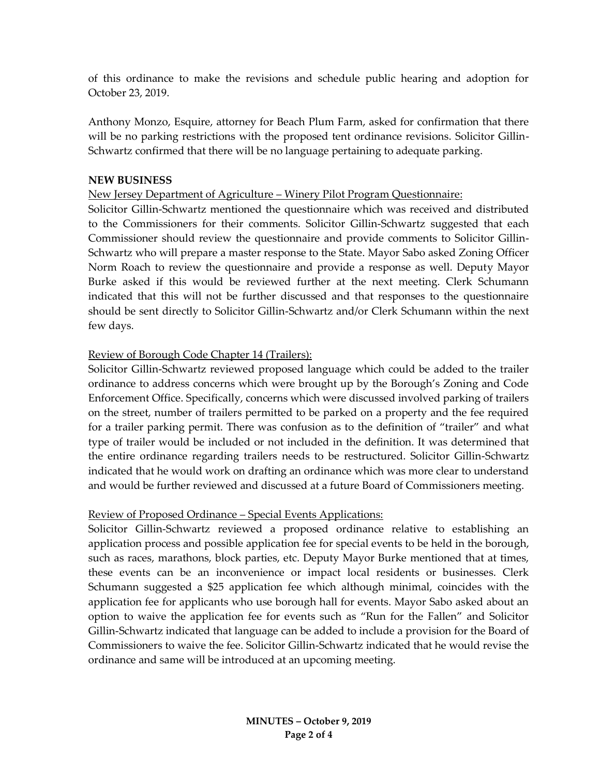of this ordinance to make the revisions and schedule public hearing and adoption for October 23, 2019.

Anthony Monzo, Esquire, attorney for Beach Plum Farm, asked for confirmation that there will be no parking restrictions with the proposed tent ordinance revisions. Solicitor Gillin-Schwartz confirmed that there will be no language pertaining to adequate parking.

### **NEW BUSINESS**

### New Jersey Department of Agriculture – Winery Pilot Program Questionnaire:

Solicitor Gillin-Schwartz mentioned the questionnaire which was received and distributed to the Commissioners for their comments. Solicitor Gillin-Schwartz suggested that each Commissioner should review the questionnaire and provide comments to Solicitor Gillin-Schwartz who will prepare a master response to the State. Mayor Sabo asked Zoning Officer Norm Roach to review the questionnaire and provide a response as well. Deputy Mayor Burke asked if this would be reviewed further at the next meeting. Clerk Schumann indicated that this will not be further discussed and that responses to the questionnaire should be sent directly to Solicitor Gillin-Schwartz and/or Clerk Schumann within the next few days.

# Review of Borough Code Chapter 14 (Trailers):

Solicitor Gillin-Schwartz reviewed proposed language which could be added to the trailer ordinance to address concerns which were brought up by the Borough's Zoning and Code Enforcement Office. Specifically, concerns which were discussed involved parking of trailers on the street, number of trailers permitted to be parked on a property and the fee required for a trailer parking permit. There was confusion as to the definition of "trailer" and what type of trailer would be included or not included in the definition. It was determined that the entire ordinance regarding trailers needs to be restructured. Solicitor Gillin-Schwartz indicated that he would work on drafting an ordinance which was more clear to understand and would be further reviewed and discussed at a future Board of Commissioners meeting.

# Review of Proposed Ordinance – Special Events Applications:

Solicitor Gillin-Schwartz reviewed a proposed ordinance relative to establishing an application process and possible application fee for special events to be held in the borough, such as races, marathons, block parties, etc. Deputy Mayor Burke mentioned that at times, these events can be an inconvenience or impact local residents or businesses. Clerk Schumann suggested a \$25 application fee which although minimal, coincides with the application fee for applicants who use borough hall for events. Mayor Sabo asked about an option to waive the application fee for events such as "Run for the Fallen" and Solicitor Gillin-Schwartz indicated that language can be added to include a provision for the Board of Commissioners to waive the fee. Solicitor Gillin-Schwartz indicated that he would revise the ordinance and same will be introduced at an upcoming meeting.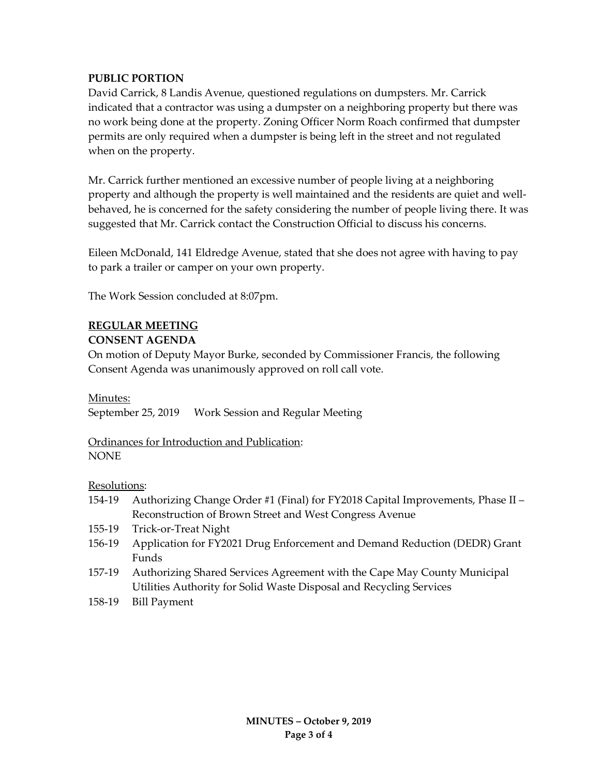# **PUBLIC PORTION**

David Carrick, 8 Landis Avenue, questioned regulations on dumpsters. Mr. Carrick indicated that a contractor was using a dumpster on a neighboring property but there was no work being done at the property. Zoning Officer Norm Roach confirmed that dumpster permits are only required when a dumpster is being left in the street and not regulated when on the property.

Mr. Carrick further mentioned an excessive number of people living at a neighboring property and although the property is well maintained and the residents are quiet and wellbehaved, he is concerned for the safety considering the number of people living there. It was suggested that Mr. Carrick contact the Construction Official to discuss his concerns.

Eileen McDonald, 141 Eldredge Avenue, stated that she does not agree with having to pay to park a trailer or camper on your own property.

The Work Session concluded at 8:07pm.

# **REGULAR MEETING CONSENT AGENDA**

On motion of Deputy Mayor Burke, seconded by Commissioner Francis, the following Consent Agenda was unanimously approved on roll call vote.

# Minutes:

September 25, 2019 Work Session and Regular Meeting

Ordinances for Introduction and Publication: NONE

Resolutions:

- 154-19 Authorizing Change Order #1 (Final) for FY2018 Capital Improvements, Phase II Reconstruction of Brown Street and West Congress Avenue
- 155-19 Trick-or-Treat Night
- 156-19 Application for FY2021 Drug Enforcement and Demand Reduction (DEDR) Grant Funds
- 157-19 Authorizing Shared Services Agreement with the Cape May County Municipal Utilities Authority for Solid Waste Disposal and Recycling Services
- 158-19 Bill Payment